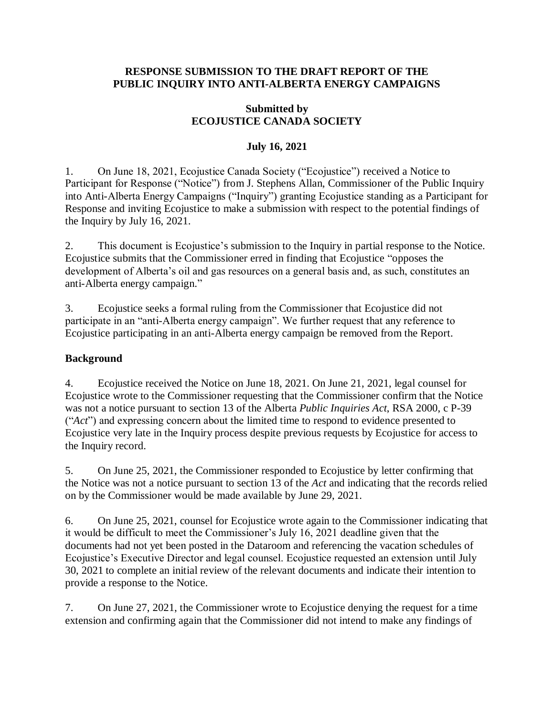### **RESPONSE SUBMISSION TO THE DRAFT REPORT OF THE PUBLIC INQUIRY INTO ANTI-ALBERTA ENERGY CAMPAIGNS**

## **Submitted by ECOJUSTICE CANADA SOCIETY**

## **July 16, 2021**

1. On June 18, 2021, Ecojustice Canada Society ("Ecojustice") received a Notice to Participant for Response ("Notice") from J. Stephens Allan, Commissioner of the Public Inquiry into Anti-Alberta Energy Campaigns ("Inquiry") granting Ecojustice standing as a Participant for Response and inviting Ecojustice to make a submission with respect to the potential findings of the Inquiry by July 16, 2021.

2. This document is Ecojustice's submission to the Inquiry in partial response to the Notice. Ecojustice submits that the Commissioner erred in finding that Ecojustice "opposes the development of Alberta's oil and gas resources on a general basis and, as such, constitutes an anti-Alberta energy campaign."

3. Ecojustice seeks a formal ruling from the Commissioner that Ecojustice did not participate in an "anti-Alberta energy campaign". We further request that any reference to Ecojustice participating in an anti-Alberta energy campaign be removed from the Report.

## **Background**

4. Ecojustice received the Notice on June 18, 2021. On June 21, 2021, legal counsel for Ecojustice wrote to the Commissioner requesting that the Commissioner confirm that the Notice was not a notice pursuant to section 13 of the Alberta *Public Inquiries Act*, RSA 2000, c P-39 ("*Act*") and expressing concern about the limited time to respond to evidence presented to Ecojustice very late in the Inquiry process despite previous requests by Ecojustice for access to the Inquiry record.

5. On June 25, 2021, the Commissioner responded to Ecojustice by letter confirming that the Notice was not a notice pursuant to section 13 of the *Act* and indicating that the records relied on by the Commissioner would be made available by June 29, 2021.

6. On June 25, 2021, counsel for Ecojustice wrote again to the Commissioner indicating that it would be difficult to meet the Commissioner's July 16, 2021 deadline given that the documents had not yet been posted in the Dataroom and referencing the vacation schedules of Ecojustice's Executive Director and legal counsel. Ecojustice requested an extension until July 30, 2021 to complete an initial review of the relevant documents and indicate their intention to provide a response to the Notice.

7. On June 27, 2021, the Commissioner wrote to Ecojustice denying the request for a time extension and confirming again that the Commissioner did not intend to make any findings of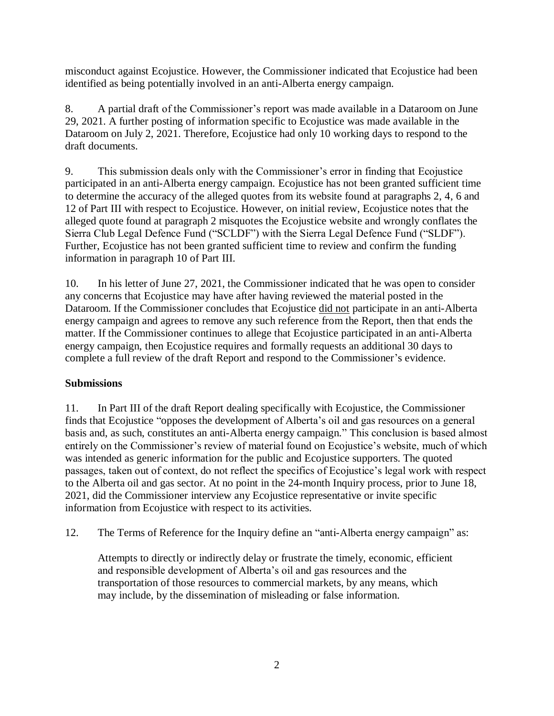misconduct against Ecojustice. However, the Commissioner indicated that Ecojustice had been identified as being potentially involved in an anti-Alberta energy campaign.

8. A partial draft of the Commissioner's report was made available in a Dataroom on June 29, 2021. A further posting of information specific to Ecojustice was made available in the Dataroom on July 2, 2021. Therefore, Ecojustice had only 10 working days to respond to the draft documents.

9. This submission deals only with the Commissioner's error in finding that Ecojustice participated in an anti-Alberta energy campaign. Ecojustice has not been granted sufficient time to determine the accuracy of the alleged quotes from its website found at paragraphs 2, 4, 6 and 12 of Part III with respect to Ecojustice. However, on initial review, Ecojustice notes that the alleged quote found at paragraph 2 misquotes the Ecojustice website and wrongly conflates the Sierra Club Legal Defence Fund ("SCLDF") with the Sierra Legal Defence Fund ("SLDF"). Further, Ecojustice has not been granted sufficient time to review and confirm the funding information in paragraph 10 of Part III.

10. In his letter of June 27, 2021, the Commissioner indicated that he was open to consider any concerns that Ecojustice may have after having reviewed the material posted in the Dataroom. If the Commissioner concludes that Ecojustice did not participate in an anti-Alberta energy campaign and agrees to remove any such reference from the Report, then that ends the matter. If the Commissioner continues to allege that Ecojustice participated in an anti-Alberta energy campaign, then Ecojustice requires and formally requests an additional 30 days to complete a full review of the draft Report and respond to the Commissioner's evidence.

# **Submissions**

11. In Part III of the draft Report dealing specifically with Ecojustice, the Commissioner finds that Ecojustice "opposes the development of Alberta's oil and gas resources on a general basis and, as such, constitutes an anti-Alberta energy campaign." This conclusion is based almost entirely on the Commissioner's review of material found on Ecojustice's website, much of which was intended as generic information for the public and Ecojustice supporters. The quoted passages, taken out of context, do not reflect the specifics of Ecojustice's legal work with respect to the Alberta oil and gas sector. At no point in the 24-month Inquiry process, prior to June 18, 2021, did the Commissioner interview any Ecojustice representative or invite specific information from Ecojustice with respect to its activities.

12. The Terms of Reference for the Inquiry define an "anti-Alberta energy campaign" as:

Attempts to directly or indirectly delay or frustrate the timely, economic, efficient and responsible development of Alberta's oil and gas resources and the transportation of those resources to commercial markets, by any means, which may include, by the dissemination of misleading or false information.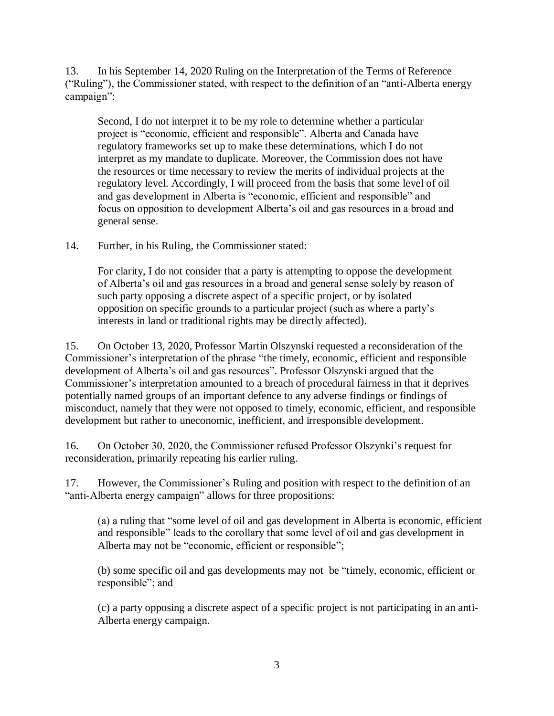13. In his September 14, 2020 Ruling on the Interpretation of the Terms of Reference ("Ruling"), the Commissioner stated, with respect to the definition of an "anti-Alberta energy campaign":

Second, I do not interpret it to be my role to determine whether a particular project is "economic, efficient and responsible". Alberta and Canada have regulatory frameworks set up to make these determinations, which I do not interpret as my mandate to duplicate. Moreover, the Commission does not have the resources or time necessary to review the merits of individual projects at the regulatory level. Accordingly, I will proceed from the basis that some level of oil and gas development in Alberta is "economic, efficient and responsible" and focus on opposition to development Alberta's oil and gas resources in a broad and general sense.

14. Further, in his Ruling, the Commissioner stated:

For clarity, I do not consider that a party is attempting to oppose the development of Alberta's oil and gas resources in a broad and general sense solely by reason of such party opposing a discrete aspect of a specific project, or by isolated opposition on specific grounds to a particular project (such as where a party's interests in land or traditional rights may be directly affected).

15. On October 13, 2020, Professor Martin Olszynski requested a reconsideration of the Commissioner's interpretation of the phrase "the timely, economic, efficient and responsible development of Alberta's oil and gas resources". Professor Olszynski argued that the Commissioner's interpretation amounted to a breach of procedural fairness in that it deprives potentially named groups of an important defence to any adverse findings or findings of misconduct, namely that they were not opposed to timely, economic, efficient, and responsible development but rather to uneconomic, inefficient, and irresponsible development.

16. On October 30, 2020, the Commissioner refused Professor Olszynki's request for reconsideration, primarily repeating his earlier ruling.

17. However, the Commissioner's Ruling and position with respect to the definition of an "anti-Alberta energy campaign" allows for three propositions:

(a) a ruling that "some level of oil and gas development in Alberta is economic, efficient and responsible" leads to the corollary that some level of oil and gas development in Alberta may not be "economic, efficient or responsible";

(b) some specific oil and gas developments may not be "timely, economic, efficient or responsible"; and

(c) a party opposing a discrete aspect of a specific project is not participating in an anti-Alberta energy campaign.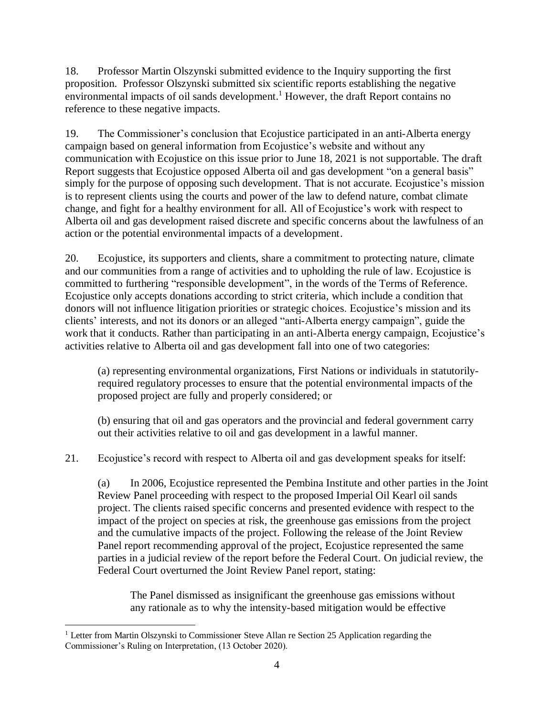18. Professor Martin Olszynski submitted evidence to the Inquiry supporting the first proposition. Professor Olszynski submitted six scientific reports establishing the negative environmental impacts of oil sands development.<sup>1</sup> However, the draft Report contains no reference to these negative impacts.

19. The Commissioner's conclusion that Ecojustice participated in an anti-Alberta energy campaign based on general information from Ecojustice's website and without any communication with Ecojustice on this issue prior to June 18, 2021 is not supportable. The draft Report suggests that Ecojustice opposed Alberta oil and gas development "on a general basis" simply for the purpose of opposing such development. That is not accurate. Ecojustice's mission is to represent clients using the courts and power of the law to defend nature, combat climate change, and fight for a healthy environment for all. All of Ecojustice's work with respect to Alberta oil and gas development raised discrete and specific concerns about the lawfulness of an action or the potential environmental impacts of a development.

20. Ecojustice, its supporters and clients, share a commitment to protecting nature, climate and our communities from a range of activities and to upholding the rule of law. Ecojustice is committed to furthering "responsible development", in the words of the Terms of Reference. Ecojustice only accepts donations according to strict criteria, which include a condition that donors will not influence litigation priorities or strategic choices. Ecojustice's mission and its clients' interests, and not its donors or an alleged "anti-Alberta energy campaign", guide the work that it conducts. Rather than participating in an anti-Alberta energy campaign, Ecojustice's activities relative to Alberta oil and gas development fall into one of two categories:

(a) representing environmental organizations, First Nations or individuals in statutorilyrequired regulatory processes to ensure that the potential environmental impacts of the proposed project are fully and properly considered; or

(b) ensuring that oil and gas operators and the provincial and federal government carry out their activities relative to oil and gas development in a lawful manner.

21. Ecojustice's record with respect to Alberta oil and gas development speaks for itself:

(a) In 2006, Ecojustice represented the Pembina Institute and other parties in the Joint Review Panel proceeding with respect to the proposed Imperial Oil Kearl oil sands project. The clients raised specific concerns and presented evidence with respect to the impact of the project on species at risk, the greenhouse gas emissions from the project and the cumulative impacts of the project. Following the release of the Joint Review Panel report recommending approval of the project, Ecojustice represented the same parties in a judicial review of the report before the Federal Court. On judicial review, the Federal Court overturned the Joint Review Panel report, stating:

The Panel dismissed as insignificant the greenhouse gas emissions without any rationale as to why the intensity-based mitigation would be effective

 $\overline{a}$  $1$  Letter from Martin Olszynski to Commissioner Steve Allan re Section 25 Application regarding the Commissioner's Ruling on Interpretation, (13 October 2020).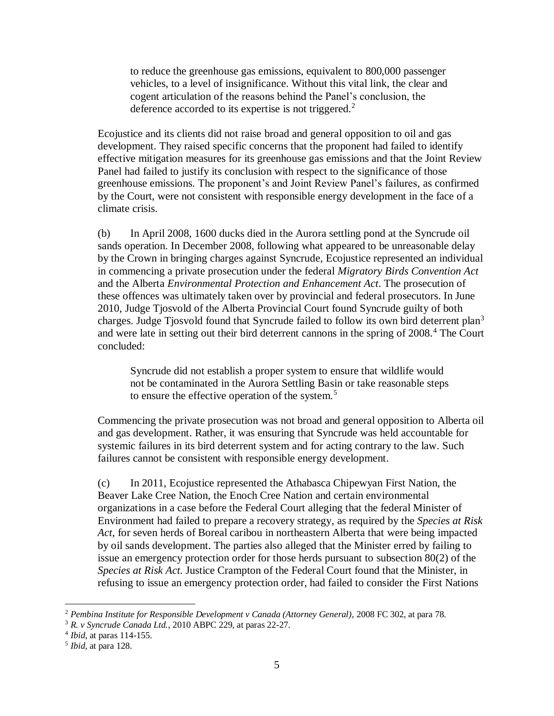to reduce the greenhouse gas emissions, equivalent to 800,000 passenger vehicles, to a level of insignificance. Without this vital link, the clear and cogent articulation of the reasons behind the Panel's conclusion, the deference accorded to its expertise is not triggered.<sup>2</sup>

Ecojustice and its clients did not raise broad and general opposition to oil and gas development. They raised specific concerns that the proponent had failed to identify effective mitigation measures for its greenhouse gas emissions and that the Joint Review Panel had failed to justify its conclusion with respect to the significance of those greenhouse emissions. The proponent's and Joint Review Panel's failures, as confirmed by the Court, were not consistent with responsible energy development in the face of a climate crisis.

(b) In April 2008, 1600 ducks died in the Aurora settling pond at the Syncrude oil sands operation. In December 2008, following what appeared to be unreasonable delay by the Crown in bringing charges against Syncrude, Ecojustice represented an individual in commencing a private prosecution under the federal *Migratory Birds Convention Act* and the Alberta *Environmental Protection and Enhancement Act*. The prosecution of these offences was ultimately taken over by provincial and federal prosecutors. In June 2010, Judge Tjosvold of the Alberta Provincial Court found Syncrude guilty of both charges. Judge Tjosvold found that Syncrude failed to follow its own bird deterrent plan<sup>3</sup> and were late in setting out their bird deterrent cannons in the spring of  $2008<sup>4</sup>$ . The Court concluded:

Syncrude did not establish a proper system to ensure that wildlife would not be contaminated in the Aurora Settling Basin or take reasonable steps to ensure the effective operation of the system.<sup>5</sup>

Commencing the private prosecution was not broad and general opposition to Alberta oil and gas development. Rather, it was ensuring that Syncrude was held accountable for systemic failures in its bird deterrent system and for acting contrary to the law. Such failures cannot be consistent with responsible energy development.

(c) In 2011, Ecojustice represented the Athabasca Chipewyan First Nation, the Beaver Lake Cree Nation, the Enoch Cree Nation and certain environmental organizations in a case before the Federal Court alleging that the federal Minister of Environment had failed to prepare a recovery strategy, as required by the *Species at Risk Act*, for seven herds of Boreal caribou in northeastern Alberta that were being impacted by oil sands development. The parties also alleged that the Minister erred by failing to issue an emergency protection order for those herds pursuant to subsection 80(2) of the *Species at Risk Act*. Justice Crampton of the Federal Court found that the Minister, in refusing to issue an emergency protection order, had failed to consider the First Nations

 $\overline{a}$ 

<sup>2</sup> *Pembina Institute for Responsible Development v Canada (Attorney General)*, 2008 FC 302, at para 78.

<sup>3</sup> *R. v Syncrude Canada Ltd.*, 2010 ABPC 229, at paras 22-27.

<sup>4</sup> *Ibid*, at paras 114-155.

<sup>5</sup> *Ibid*, at para 128.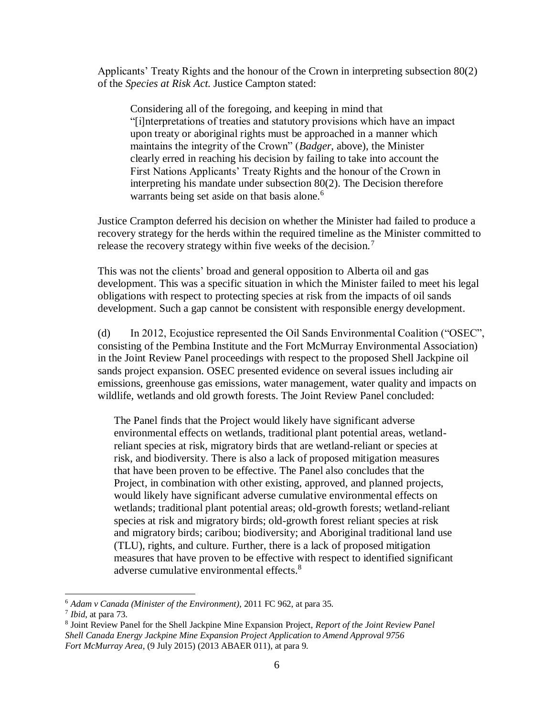Applicants' Treaty Rights and the honour of the Crown in interpreting subsection 80(2) of the *Species at Risk Act*. Justice Campton stated:

Considering all of the foregoing, and keeping in mind that "[i]nterpretations of treaties and statutory provisions which have an impact upon treaty or aboriginal rights must be approached in a manner which maintains the integrity of the Crown" (*Badger*, above), the Minister clearly erred in reaching his decision by failing to take into account the First Nations Applicants' Treaty Rights and the honour of the Crown in interpreting his mandate under subsection 80(2). The Decision therefore warrants being set aside on that basis alone.<sup>6</sup>

Justice Crampton deferred his decision on whether the Minister had failed to produce a recovery strategy for the herds within the required timeline as the Minister committed to release the recovery strategy within five weeks of the decision.<sup>7</sup>

This was not the clients' broad and general opposition to Alberta oil and gas development. This was a specific situation in which the Minister failed to meet his legal obligations with respect to protecting species at risk from the impacts of oil sands development. Such a gap cannot be consistent with responsible energy development.

(d) In 2012, Ecojustice represented the Oil Sands Environmental Coalition ("OSEC", consisting of the Pembina Institute and the Fort McMurray Environmental Association) in the Joint Review Panel proceedings with respect to the proposed Shell Jackpine oil sands project expansion. OSEC presented evidence on several issues including air emissions, greenhouse gas emissions, water management, water quality and impacts on wildlife, wetlands and old growth forests. The Joint Review Panel concluded:

The Panel finds that the Project would likely have significant adverse environmental effects on wetlands, traditional plant potential areas, wetlandreliant species at risk, migratory birds that are wetland-reliant or species at risk, and biodiversity. There is also a lack of proposed mitigation measures that have been proven to be effective. The Panel also concludes that the Project, in combination with other existing, approved, and planned projects, would likely have significant adverse cumulative environmental effects on wetlands; traditional plant potential areas; old-growth forests; wetland-reliant species at risk and migratory birds; old-growth forest reliant species at risk and migratory birds; caribou; biodiversity; and Aboriginal traditional land use (TLU), rights, and culture. Further, there is a lack of proposed mitigation measures that have proven to be effective with respect to identified significant adverse cumulative environmental effects.<sup>8</sup>

 $\overline{a}$ <sup>6</sup> *Adam v Canada (Minister of the Environment)*, 2011 FC 962, at para 35.

<sup>7</sup> *Ibid*, at para 73.

<sup>8</sup> Joint Review Panel for the Shell Jackpine Mine Expansion Project, *Report of the Joint Review Panel Shell Canada Energy Jackpine Mine Expansion Project Application to Amend Approval 9756 Fort McMurray Area*, (9 July 2015) (2013 ABAER 011), at para 9.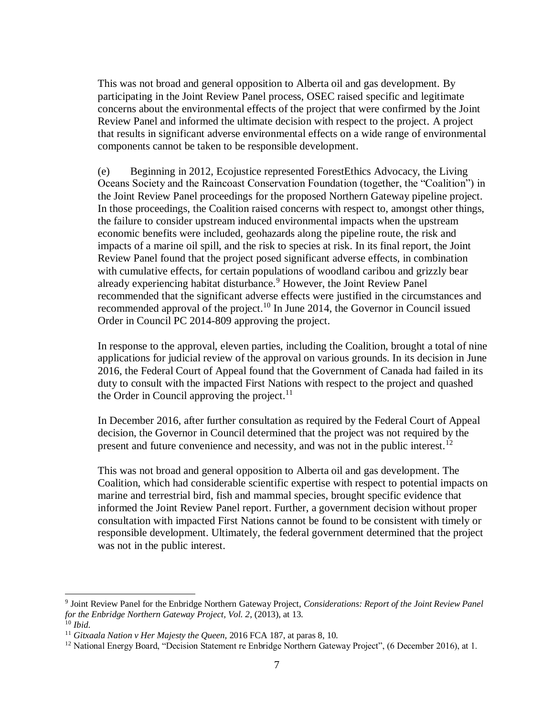This was not broad and general opposition to Alberta oil and gas development. By participating in the Joint Review Panel process, OSEC raised specific and legitimate concerns about the environmental effects of the project that were confirmed by the Joint Review Panel and informed the ultimate decision with respect to the project. A project that results in significant adverse environmental effects on a wide range of environmental components cannot be taken to be responsible development.

(e) Beginning in 2012, Ecojustice represented ForestEthics Advocacy, the Living Oceans Society and the Raincoast Conservation Foundation (together, the "Coalition") in the Joint Review Panel proceedings for the proposed Northern Gateway pipeline project. In those proceedings, the Coalition raised concerns with respect to, amongst other things, the failure to consider upstream induced environmental impacts when the upstream economic benefits were included, geohazards along the pipeline route, the risk and impacts of a marine oil spill, and the risk to species at risk. In its final report, the Joint Review Panel found that the project posed significant adverse effects, in combination with cumulative effects, for certain populations of woodland caribou and grizzly bear already experiencing habitat disturbance.<sup>9</sup> However, the Joint Review Panel recommended that the significant adverse effects were justified in the circumstances and recommended approval of the project.<sup>10</sup> In June 2014, the Governor in Council issued Order in Council PC 2014-809 approving the project.

In response to the approval, eleven parties, including the Coalition, brought a total of nine applications for judicial review of the approval on various grounds. In its decision in June 2016, the Federal Court of Appeal found that the Government of Canada had failed in its duty to consult with the impacted First Nations with respect to the project and quashed the Order in Council approving the project. $11$ 

In December 2016, after further consultation as required by the Federal Court of Appeal decision, the Governor in Council determined that the project was not required by the present and future convenience and necessity, and was not in the public interest.<sup>12</sup>

This was not broad and general opposition to Alberta oil and gas development. The Coalition, which had considerable scientific expertise with respect to potential impacts on marine and terrestrial bird, fish and mammal species, brought specific evidence that informed the Joint Review Panel report. Further, a government decision without proper consultation with impacted First Nations cannot be found to be consistent with timely or responsible development. Ultimately, the federal government determined that the project was not in the public interest.

 9 Joint Review Panel for the Enbridge Northern Gateway Project, *Considerations: Report of the Joint Review Panel for the Enbridge Northern Gateway Project, Vol. 2*, (2013), at 13. <sup>10</sup> *Ibid*.

<sup>11</sup> *Gitxaala Nation v Her Majesty the Queen*, 2016 FCA 187, at paras 8, 10.

<sup>&</sup>lt;sup>12</sup> National Energy Board, "Decision Statement re Enbridge Northern Gateway Project", (6 December 2016), at 1.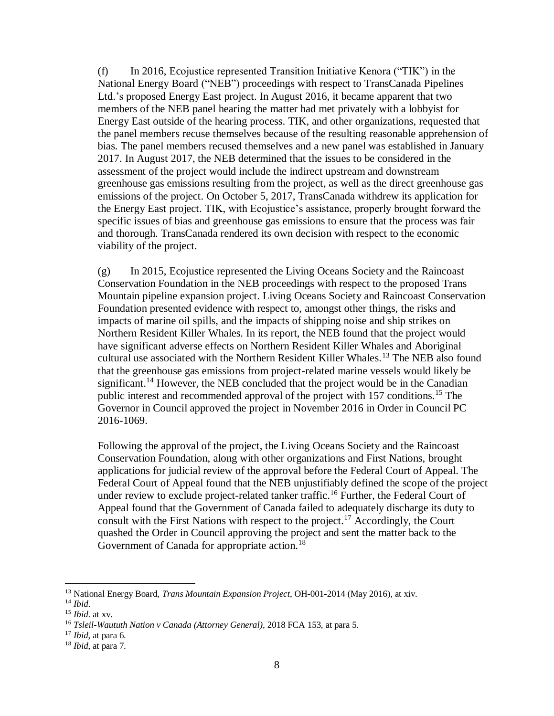(f) In 2016, Ecojustice represented Transition Initiative Kenora ("TIK") in the National Energy Board ("NEB") proceedings with respect to TransCanada Pipelines Ltd.'s proposed Energy East project. In August 2016, it became apparent that two members of the NEB panel hearing the matter had met privately with a lobbyist for Energy East outside of the hearing process. TIK, and other organizations, requested that the panel members recuse themselves because of the resulting reasonable apprehension of bias. The panel members recused themselves and a new panel was established in January 2017. In August 2017, the NEB determined that the issues to be considered in the assessment of the project would include the indirect upstream and downstream greenhouse gas emissions resulting from the project, as well as the direct greenhouse gas emissions of the project. On October 5, 2017, TransCanada withdrew its application for the Energy East project. TIK, with Ecojustice's assistance, properly brought forward the specific issues of bias and greenhouse gas emissions to ensure that the process was fair and thorough. TransCanada rendered its own decision with respect to the economic viability of the project.

(g) In 2015, Ecojustice represented the Living Oceans Society and the Raincoast Conservation Foundation in the NEB proceedings with respect to the proposed Trans Mountain pipeline expansion project. Living Oceans Society and Raincoast Conservation Foundation presented evidence with respect to, amongst other things, the risks and impacts of marine oil spills, and the impacts of shipping noise and ship strikes on Northern Resident Killer Whales. In its report, the NEB found that the project would have significant adverse effects on Northern Resident Killer Whales and Aboriginal cultural use associated with the Northern Resident Killer Whales.<sup>13</sup> The NEB also found that the greenhouse gas emissions from project-related marine vessels would likely be significant.<sup>14</sup> However, the NEB concluded that the project would be in the Canadian public interest and recommended approval of the project with 157 conditions. <sup>15</sup> The Governor in Council approved the project in November 2016 in Order in Council PC 2016-1069.

Following the approval of the project, the Living Oceans Society and the Raincoast Conservation Foundation, along with other organizations and First Nations, brought applications for judicial review of the approval before the Federal Court of Appeal. The Federal Court of Appeal found that the NEB unjustifiably defined the scope of the project under review to exclude project-related tanker traffic.<sup>16</sup> Further, the Federal Court of Appeal found that the Government of Canada failed to adequately discharge its duty to consult with the First Nations with respect to the project.<sup>17</sup> Accordingly, the Court quashed the Order in Council approving the project and sent the matter back to the Government of Canada for appropriate action.<sup>18</sup>

 $\overline{a}$ 

<sup>13</sup> National Energy Board, *Trans Mountain Expansion Project*, OH-001-2014 (May 2016), at xiv. <sup>14</sup> *Ibid*.

<sup>15</sup> *Ibid*. at xv.

<sup>16</sup> *Tsleil-Waututh Nation v Canada (Attorney General)*, 2018 FCA 153, at para 5.

<sup>17</sup> *Ibid*, at para 6.

<sup>18</sup> *Ibid*, at para 7.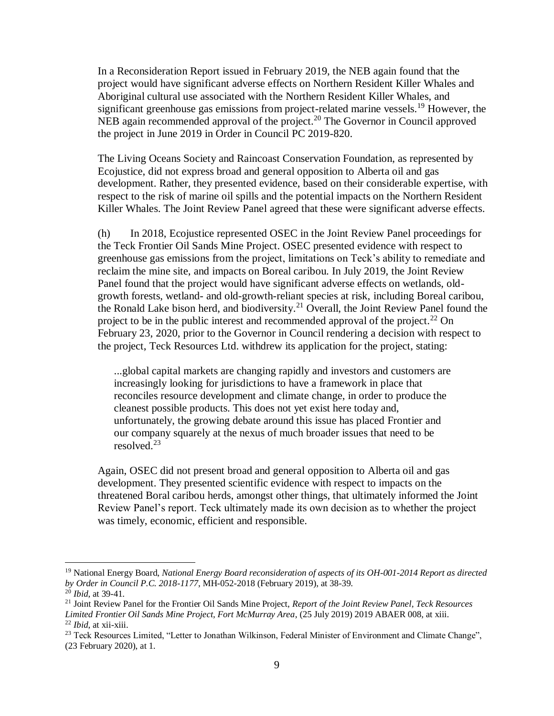In a Reconsideration Report issued in February 2019, the NEB again found that the project would have significant adverse effects on Northern Resident Killer Whales and Aboriginal cultural use associated with the Northern Resident Killer Whales, and significant greenhouse gas emissions from project-related marine vessels.<sup>19</sup> However, the NEB again recommended approval of the project.<sup>20</sup> The Governor in Council approved the project in June 2019 in Order in Council PC 2019-820.

The Living Oceans Society and Raincoast Conservation Foundation, as represented by Ecojustice, did not express broad and general opposition to Alberta oil and gas development. Rather, they presented evidence, based on their considerable expertise, with respect to the risk of marine oil spills and the potential impacts on the Northern Resident Killer Whales. The Joint Review Panel agreed that these were significant adverse effects.

(h) In 2018, Ecojustice represented OSEC in the Joint Review Panel proceedings for the Teck Frontier Oil Sands Mine Project. OSEC presented evidence with respect to greenhouse gas emissions from the project, limitations on Teck's ability to remediate and reclaim the mine site, and impacts on Boreal caribou. In July 2019, the Joint Review Panel found that the project would have significant adverse effects on wetlands, oldgrowth forests, wetland- and old-growth-reliant species at risk, including Boreal caribou, the Ronald Lake bison herd, and biodiversity.<sup>21</sup> Overall, the Joint Review Panel found the project to be in the public interest and recommended approval of the project.<sup>22</sup> On February 23, 2020, prior to the Governor in Council rendering a decision with respect to the project, Teck Resources Ltd. withdrew its application for the project, stating:

...global capital markets are changing rapidly and investors and customers are increasingly looking for jurisdictions to have a framework in place that reconciles resource development and climate change, in order to produce the cleanest possible products. This does not yet exist here today and, unfortunately, the growing debate around this issue has placed Frontier and our company squarely at the nexus of much broader issues that need to be resolved.<sup>23</sup>

Again, OSEC did not present broad and general opposition to Alberta oil and gas development. They presented scientific evidence with respect to impacts on the threatened Boral caribou herds, amongst other things, that ultimately informed the Joint Review Panel's report. Teck ultimately made its own decision as to whether the project was timely, economic, efficient and responsible.

 $\overline{a}$ 

<sup>19</sup> National Energy Board, *National Energy Board reconsideration of aspects of its OH-001-2014 Report as directed by Order in Council P.C. 2018-1177*, MH-052-2018 (February 2019), at 38-39.

 $^{20}$  *Ibid.* at 39-41.

<sup>21</sup> Joint Review Panel for the Frontier Oil Sands Mine Project, *Report of the Joint Review Panel, Teck Resources Limited Frontier Oil Sands Mine Project, Fort McMurray Area*, (25 July 2019) 2019 ABAER 008, at xiii. <sup>22</sup> *Ibid*, at xii-xiii.

<sup>&</sup>lt;sup>23</sup> Teck Resources Limited, "Letter to Jonathan Wilkinson, Federal Minister of Environment and Climate Change", (23 February 2020), at 1.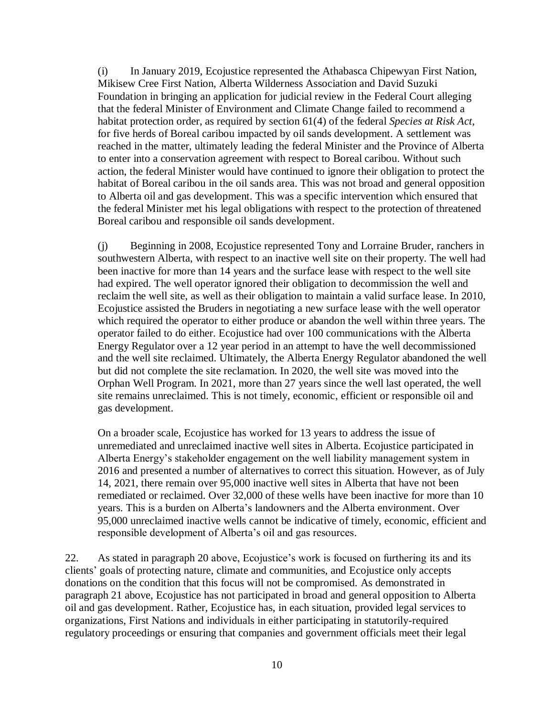(i) In January 2019, Ecojustice represented the Athabasca Chipewyan First Nation, Mikisew Cree First Nation, Alberta Wilderness Association and David Suzuki Foundation in bringing an application for judicial review in the Federal Court alleging that the federal Minister of Environment and Climate Change failed to recommend a habitat protection order, as required by section 61(4) of the federal *Species at Risk Act*, for five herds of Boreal caribou impacted by oil sands development. A settlement was reached in the matter, ultimately leading the federal Minister and the Province of Alberta to enter into a conservation agreement with respect to Boreal caribou. Without such action, the federal Minister would have continued to ignore their obligation to protect the habitat of Boreal caribou in the oil sands area. This was not broad and general opposition to Alberta oil and gas development. This was a specific intervention which ensured that the federal Minister met his legal obligations with respect to the protection of threatened Boreal caribou and responsible oil sands development.

(j) Beginning in 2008, Ecojustice represented Tony and Lorraine Bruder, ranchers in southwestern Alberta, with respect to an inactive well site on their property. The well had been inactive for more than 14 years and the surface lease with respect to the well site had expired. The well operator ignored their obligation to decommission the well and reclaim the well site, as well as their obligation to maintain a valid surface lease. In 2010, Ecojustice assisted the Bruders in negotiating a new surface lease with the well operator which required the operator to either produce or abandon the well within three years. The operator failed to do either. Ecojustice had over 100 communications with the Alberta Energy Regulator over a 12 year period in an attempt to have the well decommissioned and the well site reclaimed. Ultimately, the Alberta Energy Regulator abandoned the well but did not complete the site reclamation. In 2020, the well site was moved into the Orphan Well Program. In 2021, more than 27 years since the well last operated, the well site remains unreclaimed. This is not timely, economic, efficient or responsible oil and gas development.

On a broader scale, Ecojustice has worked for 13 years to address the issue of unremediated and unreclaimed inactive well sites in Alberta. Ecojustice participated in Alberta Energy's stakeholder engagement on the well liability management system in 2016 and presented a number of alternatives to correct this situation. However, as of July 14, 2021, there remain over 95,000 inactive well sites in Alberta that have not been remediated or reclaimed. Over 32,000 of these wells have been inactive for more than 10 years. This is a burden on Alberta's landowners and the Alberta environment. Over 95,000 unreclaimed inactive wells cannot be indicative of timely, economic, efficient and responsible development of Alberta's oil and gas resources.

22. As stated in paragraph 20 above, Ecojustice's work is focused on furthering its and its clients' goals of protecting nature, climate and communities, and Ecojustice only accepts donations on the condition that this focus will not be compromised. As demonstrated in paragraph 21 above, Ecojustice has not participated in broad and general opposition to Alberta oil and gas development. Rather, Ecojustice has, in each situation, provided legal services to organizations, First Nations and individuals in either participating in statutorily-required regulatory proceedings or ensuring that companies and government officials meet their legal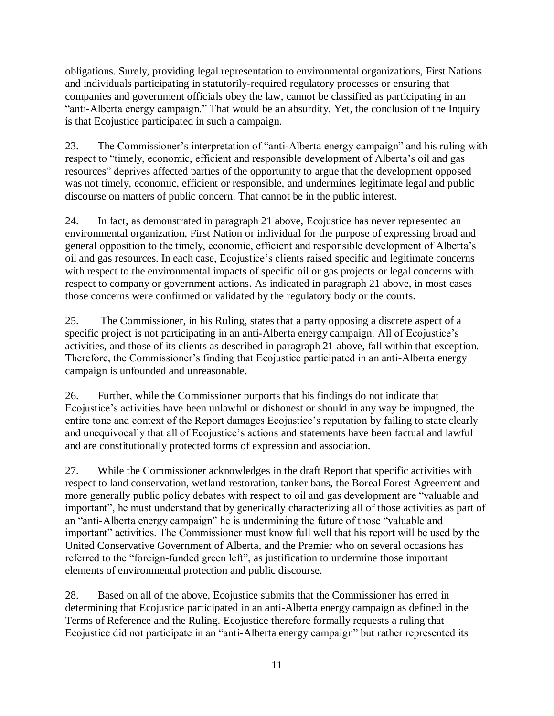obligations. Surely, providing legal representation to environmental organizations, First Nations and individuals participating in statutorily-required regulatory processes or ensuring that companies and government officials obey the law, cannot be classified as participating in an "anti-Alberta energy campaign." That would be an absurdity. Yet, the conclusion of the Inquiry is that Ecojustice participated in such a campaign.

23. The Commissioner's interpretation of "anti-Alberta energy campaign" and his ruling with respect to "timely, economic, efficient and responsible development of Alberta's oil and gas resources" deprives affected parties of the opportunity to argue that the development opposed was not timely, economic, efficient or responsible, and undermines legitimate legal and public discourse on matters of public concern. That cannot be in the public interest.

24. In fact, as demonstrated in paragraph 21 above, Ecojustice has never represented an environmental organization, First Nation or individual for the purpose of expressing broad and general opposition to the timely, economic, efficient and responsible development of Alberta's oil and gas resources. In each case, Ecojustice's clients raised specific and legitimate concerns with respect to the environmental impacts of specific oil or gas projects or legal concerns with respect to company or government actions. As indicated in paragraph 21 above, in most cases those concerns were confirmed or validated by the regulatory body or the courts.

25. The Commissioner, in his Ruling, states that a party opposing a discrete aspect of a specific project is not participating in an anti-Alberta energy campaign. All of Ecojustice's activities, and those of its clients as described in paragraph 21 above, fall within that exception. Therefore, the Commissioner's finding that Ecojustice participated in an anti-Alberta energy campaign is unfounded and unreasonable.

26. Further, while the Commissioner purports that his findings do not indicate that Ecojustice's activities have been unlawful or dishonest or should in any way be impugned, the entire tone and context of the Report damages Ecojustice's reputation by failing to state clearly and unequivocally that all of Ecojustice's actions and statements have been factual and lawful and are constitutionally protected forms of expression and association.

27. While the Commissioner acknowledges in the draft Report that specific activities with respect to land conservation, wetland restoration, tanker bans, the Boreal Forest Agreement and more generally public policy debates with respect to oil and gas development are "valuable and important", he must understand that by generically characterizing all of those activities as part of an "anti-Alberta energy campaign" he is undermining the future of those "valuable and important" activities. The Commissioner must know full well that his report will be used by the United Conservative Government of Alberta, and the Premier who on several occasions has referred to the "foreign-funded green left", as justification to undermine those important elements of environmental protection and public discourse.

28. Based on all of the above, Ecojustice submits that the Commissioner has erred in determining that Ecojustice participated in an anti-Alberta energy campaign as defined in the Terms of Reference and the Ruling. Ecojustice therefore formally requests a ruling that Ecojustice did not participate in an "anti-Alberta energy campaign" but rather represented its